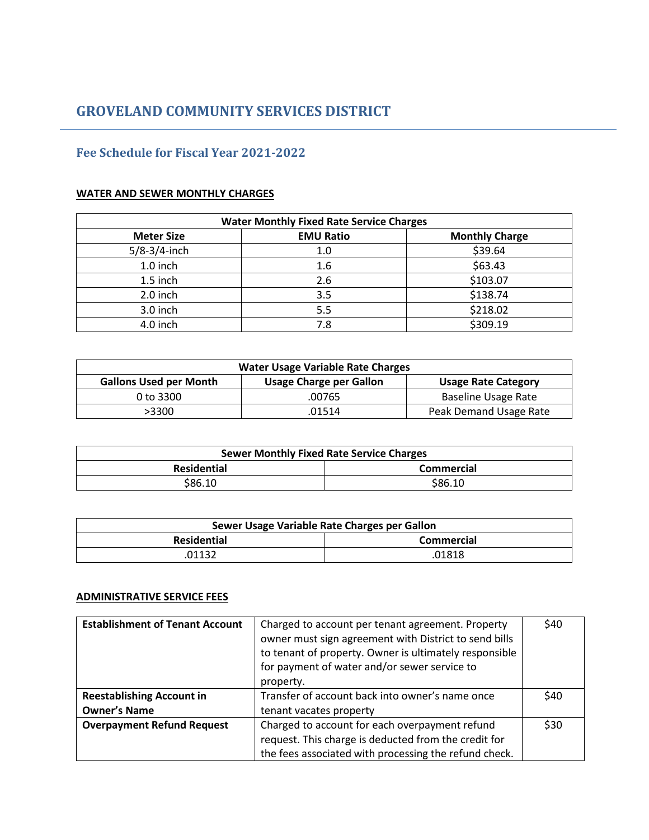# **Fee Schedule for Fiscal Year 2021-2022**

## **WATER AND SEWER MONTHLY CHARGES**

| <b>Water Monthly Fixed Rate Service Charges</b> |                       |          |
|-------------------------------------------------|-----------------------|----------|
| <b>Meter Size</b>                               | <b>Monthly Charge</b> |          |
| $5/8 - 3/4$ -inch                               | 1.0                   | \$39.64  |
| 1.0 inch                                        | 1.6                   | \$63.43  |
| 1.5 inch                                        | 2.6                   | \$103.07 |
| 2.0 inch                                        | 3.5                   | \$138.74 |
| 3.0 inch                                        | 5.5                   | \$218.02 |
| 4.0 inch                                        | 7.8                   | \$309.19 |

| <b>Water Usage Variable Rate Charges</b>                                                      |        |                        |  |
|-----------------------------------------------------------------------------------------------|--------|------------------------|--|
| <b>Gallons Used per Month</b><br><b>Usage Charge per Gallon</b><br><b>Usage Rate Category</b> |        |                        |  |
| 0 to 3300                                                                                     | .00765 | Baseline Usage Rate    |  |
| >3300                                                                                         | .01514 | Peak Demand Usage Rate |  |

| <b>Sewer Monthly Fixed Rate Service Charges</b> |            |
|-------------------------------------------------|------------|
| <b>Residential</b>                              | Commercial |
| \$86.10                                         | \$86.10    |

| Sewer Usage Variable Rate Charges per Gallon |                   |
|----------------------------------------------|-------------------|
| <b>Residential</b>                           | <b>Commercial</b> |
| 01132                                        | .01818            |

# **ADMINISTRATIVE SERVICE FEES**

| <b>Establishment of Tenant Account</b> | Charged to account per tenant agreement. Property<br>owner must sign agreement with District to send bills<br>to tenant of property. Owner is ultimately responsible<br>for payment of water and/or sewer service to<br>property. | \$40 |
|----------------------------------------|-----------------------------------------------------------------------------------------------------------------------------------------------------------------------------------------------------------------------------------|------|
| <b>Reestablishing Account in</b>       | Transfer of account back into owner's name once                                                                                                                                                                                   | \$40 |
| <b>Owner's Name</b>                    | tenant vacates property                                                                                                                                                                                                           |      |
| <b>Overpayment Refund Request</b>      | Charged to account for each overpayment refund                                                                                                                                                                                    | \$30 |
|                                        | request. This charge is deducted from the credit for                                                                                                                                                                              |      |
|                                        | the fees associated with processing the refund check.                                                                                                                                                                             |      |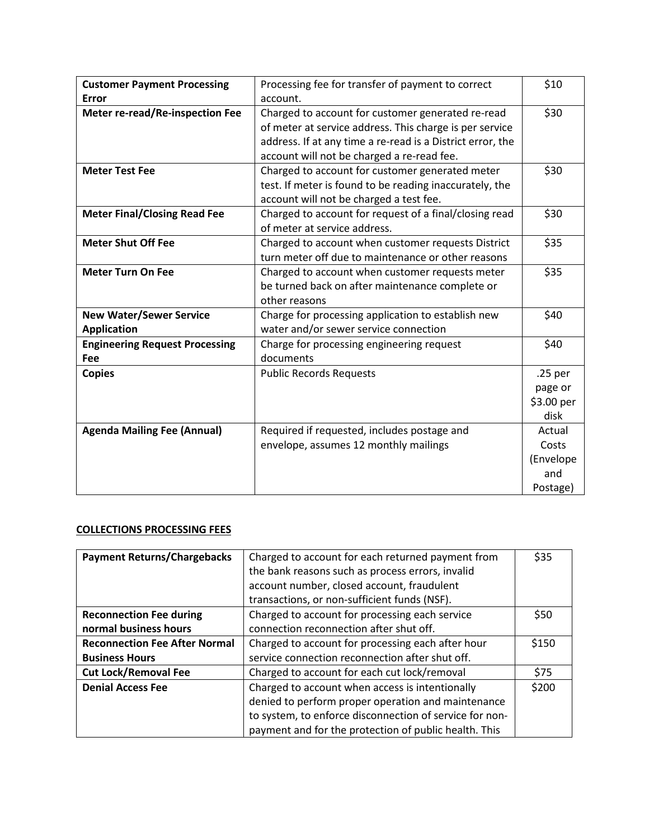| <b>Customer Payment Processing</b>     | Processing fee for transfer of payment to correct          | \$10               |
|----------------------------------------|------------------------------------------------------------|--------------------|
| Error                                  | account.                                                   |                    |
| <b>Meter re-read/Re-inspection Fee</b> | Charged to account for customer generated re-read          | \$30               |
|                                        | of meter at service address. This charge is per service    |                    |
|                                        | address. If at any time a re-read is a District error, the |                    |
|                                        | account will not be charged a re-read fee.                 |                    |
| <b>Meter Test Fee</b>                  | Charged to account for customer generated meter            | \$30               |
|                                        | test. If meter is found to be reading inaccurately, the    |                    |
|                                        | account will not be charged a test fee.                    |                    |
| <b>Meter Final/Closing Read Fee</b>    | Charged to account for request of a final/closing read     | \$30               |
|                                        | of meter at service address.                               |                    |
| <b>Meter Shut Off Fee</b>              | Charged to account when customer requests District         | \$35               |
|                                        | turn meter off due to maintenance or other reasons         |                    |
| <b>Meter Turn On Fee</b>               | Charged to account when customer requests meter            | \$35               |
|                                        | be turned back on after maintenance complete or            |                    |
|                                        | other reasons                                              |                    |
| <b>New Water/Sewer Service</b>         | Charge for processing application to establish new         | \$40               |
| <b>Application</b>                     | water and/or sewer service connection                      |                    |
| <b>Engineering Request Processing</b>  | Charge for processing engineering request                  | \$40               |
| Fee                                    | documents                                                  |                    |
| <b>Copies</b>                          | <b>Public Records Requests</b>                             | .25 <sub>per</sub> |
|                                        |                                                            | page or            |
|                                        |                                                            | \$3.00 per         |
|                                        |                                                            | disk               |
| <b>Agenda Mailing Fee (Annual)</b>     | Required if requested, includes postage and                | Actual             |
|                                        | envelope, assumes 12 monthly mailings                      | Costs              |
|                                        |                                                            | (Envelope          |
|                                        |                                                            | and                |
|                                        |                                                            | Postage)           |

# **COLLECTIONS PROCESSING FEES**

| <b>Payment Returns/Chargebacks</b>   | Charged to account for each returned payment from       | \$35  |
|--------------------------------------|---------------------------------------------------------|-------|
|                                      | the bank reasons such as process errors, invalid        |       |
|                                      | account number, closed account, fraudulent              |       |
|                                      | transactions, or non-sufficient funds (NSF).            |       |
| <b>Reconnection Fee during</b>       | Charged to account for processing each service          | \$50  |
| normal business hours                | connection reconnection after shut off.                 |       |
| <b>Reconnection Fee After Normal</b> | Charged to account for processing each after hour       | \$150 |
| <b>Business Hours</b>                | service connection reconnection after shut off.         |       |
| <b>Cut Lock/Removal Fee</b>          | Charged to account for each cut lock/removal            | \$75  |
| <b>Denial Access Fee</b>             | Charged to account when access is intentionally         | \$200 |
|                                      | denied to perform proper operation and maintenance      |       |
|                                      | to system, to enforce disconnection of service for non- |       |
|                                      | payment and for the protection of public health. This   |       |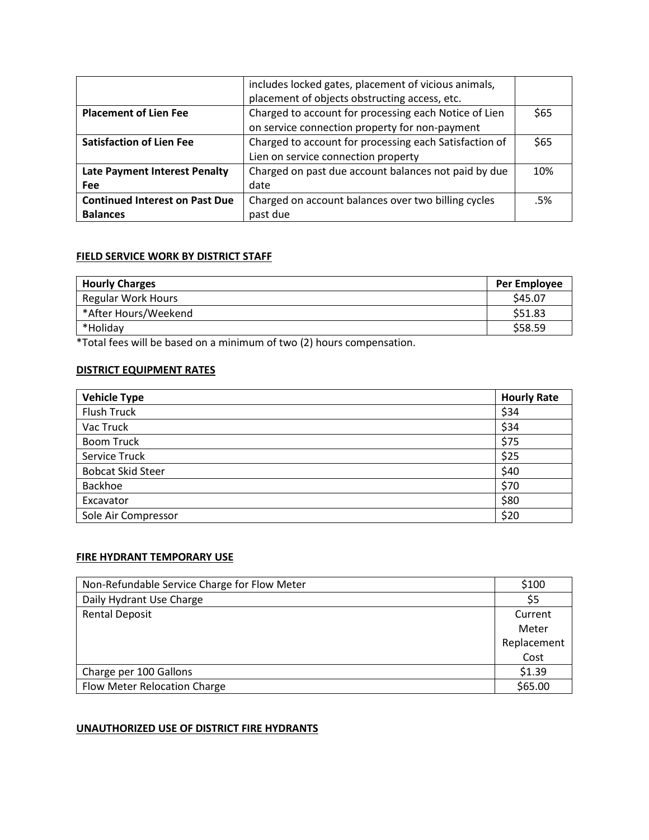|                                       | includes locked gates, placement of vicious animals,   |      |
|---------------------------------------|--------------------------------------------------------|------|
|                                       | placement of objects obstructing access, etc.          |      |
| <b>Placement of Lien Fee</b>          | Charged to account for processing each Notice of Lien  | \$65 |
|                                       | on service connection property for non-payment         |      |
| <b>Satisfaction of Lien Fee</b>       | Charged to account for processing each Satisfaction of | \$65 |
|                                       | Lien on service connection property                    |      |
| <b>Late Payment Interest Penalty</b>  | Charged on past due account balances not paid by due   | 10%  |
| <b>Fee</b>                            | date                                                   |      |
| <b>Continued Interest on Past Due</b> | Charged on account balances over two billing cycles    | .5%  |
| <b>Balances</b>                       | past due                                               |      |

#### **FIELD SERVICE WORK BY DISTRICT STAFF**

| <b>Hourly Charges</b>     | <b>Per Employee</b> |
|---------------------------|---------------------|
| <b>Regular Work Hours</b> | \$45.07             |
| *After Hours/Weekend      | \$51.83             |
| *Holiday                  | \$58.59             |

\*Total fees will be based on a minimum of two (2) hours compensation.

## **DISTRICT EQUIPMENT RATES**

| <b>Vehicle Type</b>      | <b>Hourly Rate</b> |
|--------------------------|--------------------|
| <b>Flush Truck</b>       | \$34               |
| Vac Truck                | \$34               |
| <b>Boom Truck</b>        | \$75               |
| <b>Service Truck</b>     | \$25               |
| <b>Bobcat Skid Steer</b> | \$40               |
| Backhoe                  | \$70               |
| Excavator                | \$80               |
| Sole Air Compressor      | \$20               |

## **FIRE HYDRANT TEMPORARY USE**

| Non-Refundable Service Charge for Flow Meter | \$100       |
|----------------------------------------------|-------------|
| Daily Hydrant Use Charge                     | \$5         |
| <b>Rental Deposit</b>                        | Current     |
|                                              | Meter       |
|                                              | Replacement |
|                                              | Cost        |
| Charge per 100 Gallons                       | \$1.39      |
| Flow Meter Relocation Charge                 | \$65.00     |

# **UNAUTHORIZED USE OF DISTRICT FIRE HYDRANTS**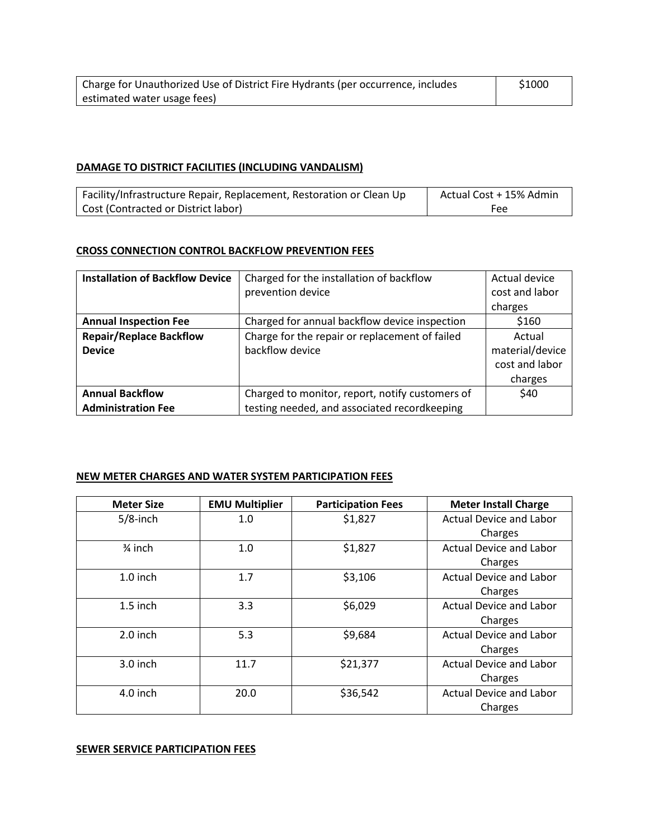| Charge for Unauthorized Use of District Fire Hydrants (per occurrence, includes | \$1000 |
|---------------------------------------------------------------------------------|--------|
| estimated water usage fees)                                                     |        |

## **DAMAGE TO DISTRICT FACILITIES (INCLUDING VANDALISM)**

| Facility/Infrastructure Repair, Replacement, Restoration or Clean Up | Actual Cost + 15% Admin |
|----------------------------------------------------------------------|-------------------------|
| Cost (Contracted or District labor)                                  | Fee                     |

#### **CROSS CONNECTION CONTROL BACKFLOW PREVENTION FEES**

| <b>Installation of Backflow Device</b> | Charged for the installation of backflow        | Actual device   |
|----------------------------------------|-------------------------------------------------|-----------------|
|                                        | prevention device                               | cost and labor  |
|                                        |                                                 | charges         |
| <b>Annual Inspection Fee</b>           | Charged for annual backflow device inspection   | \$160           |
| <b>Repair/Replace Backflow</b>         | Charge for the repair or replacement of failed  | Actual          |
| <b>Device</b>                          | backflow device                                 | material/device |
|                                        |                                                 | cost and labor  |
|                                        |                                                 | charges         |
| <b>Annual Backflow</b>                 | Charged to monitor, report, notify customers of | \$40            |
| <b>Administration Fee</b>              | testing needed, and associated recordkeeping    |                 |

#### **NEW METER CHARGES AND WATER SYSTEM PARTICIPATION FEES**

| <b>Meter Size</b>  | <b>EMU Multiplier</b> | <b>Participation Fees</b> | <b>Meter Install Charge</b>    |
|--------------------|-----------------------|---------------------------|--------------------------------|
| $5/8$ -inch        | 1.0                   | \$1,827                   | <b>Actual Device and Labor</b> |
|                    |                       |                           | Charges                        |
| $\frac{3}{4}$ inch | 1.0                   | \$1,827                   | <b>Actual Device and Labor</b> |
|                    |                       |                           | Charges                        |
| $1.0$ inch         | 1.7                   | \$3,106                   | <b>Actual Device and Labor</b> |
|                    |                       |                           | Charges                        |
| $1.5$ inch         | 3.3                   | \$6,029                   | <b>Actual Device and Labor</b> |
|                    |                       |                           | Charges                        |
| $2.0$ inch         | 5.3                   | \$9,684                   | <b>Actual Device and Labor</b> |
|                    |                       |                           | Charges                        |
| $3.0$ inch         | 11.7                  | \$21,377                  | <b>Actual Device and Labor</b> |
|                    |                       |                           | Charges                        |
| 4.0 inch           | 20.0                  | \$36,542                  | <b>Actual Device and Labor</b> |
|                    |                       |                           | Charges                        |

#### **SEWER SERVICE PARTICIPATION FEES**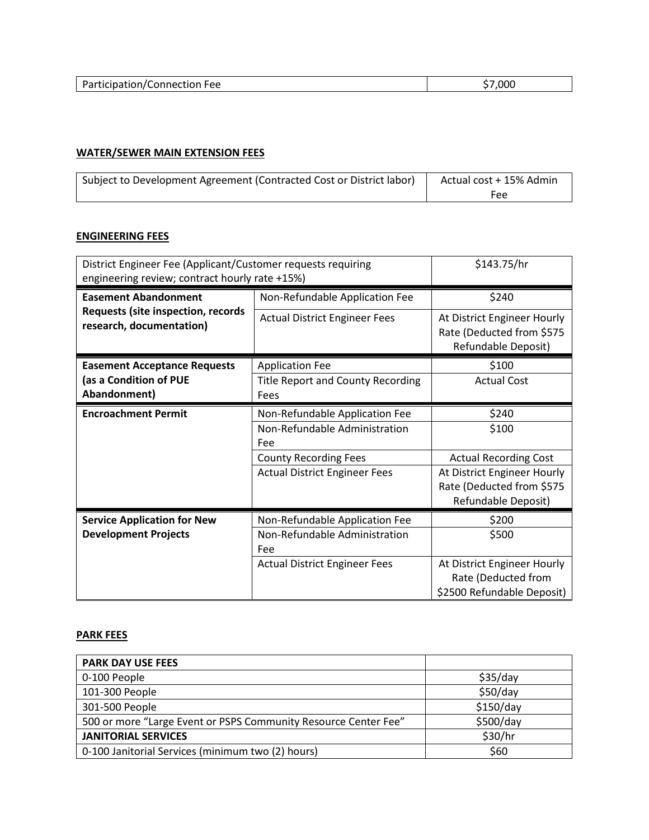| Part<br>$\overline{\cdot} \cap \cap$<br>------<br>.<br>11 J C<br>55<br>. | ეიი<br>. |
|--------------------------------------------------------------------------|----------|
|                                                                          |          |

# **WATER/SEWER MAIN EXTENSION FEES**

| Subject to Development Agreement (Contracted Cost or District labor) | Actual cost + 15% Admin |
|----------------------------------------------------------------------|-------------------------|
|                                                                      | Fee                     |

## **ENGINEERING FEES**

| District Engineer Fee (Applicant/Customer requests requiring<br>engineering review; contract hourly rate +15%) |                                          | \$143.75/hr                                                                     |
|----------------------------------------------------------------------------------------------------------------|------------------------------------------|---------------------------------------------------------------------------------|
| <b>Easement Abandonment</b>                                                                                    | Non-Refundable Application Fee           | \$240                                                                           |
| Requests (site inspection, records<br>research, documentation)                                                 | <b>Actual District Engineer Fees</b>     | At District Engineer Hourly<br>Rate (Deducted from \$575<br>Refundable Deposit) |
| <b>Easement Acceptance Requests</b>                                                                            | <b>Application Fee</b>                   | \$100                                                                           |
| (as a Condition of PUE                                                                                         | <b>Title Report and County Recording</b> | <b>Actual Cost</b>                                                              |
| Abandonment)                                                                                                   | Fees                                     |                                                                                 |
| <b>Encroachment Permit</b>                                                                                     | Non-Refundable Application Fee           | \$240                                                                           |
|                                                                                                                | Non-Refundable Administration            | \$100                                                                           |
|                                                                                                                | Fee                                      |                                                                                 |
|                                                                                                                | <b>County Recording Fees</b>             | <b>Actual Recording Cost</b>                                                    |
|                                                                                                                | <b>Actual District Engineer Fees</b>     | At District Engineer Hourly                                                     |
|                                                                                                                |                                          | Rate (Deducted from \$575                                                       |
|                                                                                                                |                                          | Refundable Deposit)                                                             |
| <b>Service Application for New</b>                                                                             | Non-Refundable Application Fee           | \$200                                                                           |
| <b>Development Projects</b>                                                                                    | Non-Refundable Administration            | \$500                                                                           |
|                                                                                                                | <b>Fee</b>                               |                                                                                 |
|                                                                                                                | <b>Actual District Engineer Fees</b>     | At District Engineer Hourly<br>Rate (Deducted from                              |
|                                                                                                                |                                          | \$2500 Refundable Deposit)                                                      |

# **PARK FEES**

| <b>PARK DAY USE FEES</b>                                        |           |
|-----------------------------------------------------------------|-----------|
| 0-100 People                                                    | \$35/day  |
| 101-300 People                                                  | \$50/day  |
| 301-500 People                                                  | \$150/day |
| 500 or more "Large Event or PSPS Community Resource Center Fee" | \$500/day |
| <b>JANITORIAL SERVICES</b>                                      | \$30/hr   |
| 0-100 Janitorial Services (minimum two (2) hours)               | \$60      |